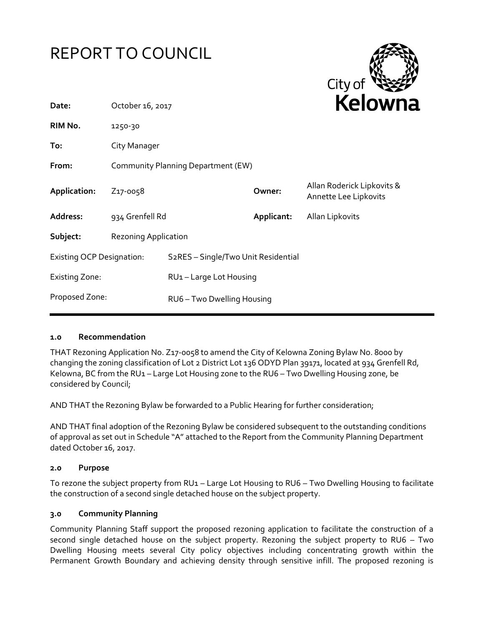



| Date:                            | October 16, 2017                   |                                                  |            | <b>NEIUWH</b>                                       |
|----------------------------------|------------------------------------|--------------------------------------------------|------------|-----------------------------------------------------|
| RIM No.                          | 1250-30                            |                                                  |            |                                                     |
| To:                              | City Manager                       |                                                  |            |                                                     |
| From:                            | Community Planning Department (EW) |                                                  |            |                                                     |
| Application:                     | Z <sub>17</sub> -0058              |                                                  | Owner:     | Allan Roderick Lipkovits &<br>Annette Lee Lipkovits |
| Address:                         | 934 Grenfell Rd                    |                                                  | Applicant: | Allan Lipkovits                                     |
| Subject:                         | <b>Rezoning Application</b>        |                                                  |            |                                                     |
| <b>Existing OCP Designation:</b> |                                    | S <sub>2</sub> RES - Single/Two Unit Residential |            |                                                     |
| <b>Existing Zone:</b>            |                                    | RU1-Large Lot Housing                            |            |                                                     |
| Proposed Zone:                   |                                    | RU6 - Two Dwelling Housing                       |            |                                                     |
|                                  |                                    |                                                  |            |                                                     |

### **1.0 Recommendation**

THAT Rezoning Application No. Z17-0058 to amend the City of Kelowna Zoning Bylaw No. 8000 by changing the zoning classification of Lot 2 District Lot 136 ODYD Plan 39171, located at 934 Grenfell Rd, Kelowna, BC from the RU1 - Large Lot Housing zone to the RU6 - Two Dwelling Housing zone, be considered by Council;

AND THAT the Rezoning Bylaw be forwarded to a Public Hearing for further consideration;

AND THAT final adoption of the Rezoning Bylaw be considered subsequent to the outstanding conditions of approval as set out in Schedule "A" attached to the Report from the Community Planning Department dated October 16, 2017.

### **2.0 Purpose**

To rezone the subject property from RU1 – Large Lot Housing to RU6 – Two Dwelling Housing to facilitate the construction of a second single detached house on the subject property.

### **3.0 Community Planning**

Community Planning Staff support the proposed rezoning application to facilitate the construction of a second single detached house on the subject property. Rezoning the subject property to RU6 – Two Dwelling Housing meets several City policy objectives including concentrating growth within the Permanent Growth Boundary and achieving density through sensitive infill. The proposed rezoning is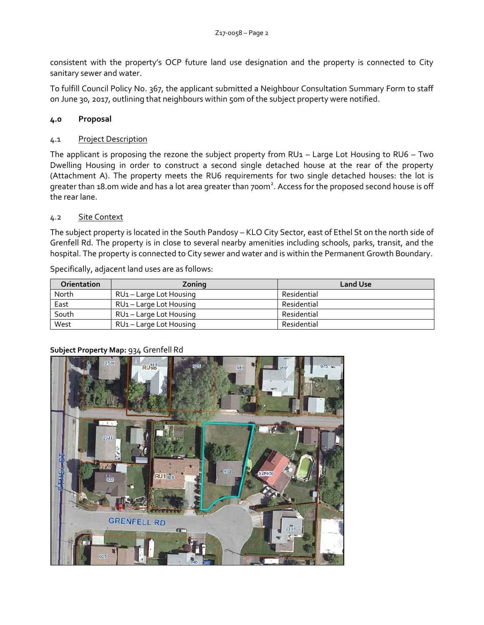consistent with the property's OCP future land use designation and the property is connected to City sanitary sewer and water.

To fulfill Council Policy No. 367, the applicant submitted a Neighbour Consultation Summary Form to staff on June 30, 2017, outlining that neighbours within 50m of the subject property were notified.

## **4.0 Proposal**

### 4.1 Project Description

The applicant is proposing the rezone the subject property from  $RU1 - Large Lot Housing to  $RU6 - Two$$ Dwelling Housing in order to construct a second single detached house at the rear of the property (Attachment A). The property meets the RU6 requirements for two single detached houses: the lot is greater than 18.0m wide and has a lot area greater than 700m<sup>2</sup>. Access for the proposed second house is off the rear lane.

### 4.2 Site Context

The subject property is located in the South Pandosy – KLO City Sector, east of Ethel St on the north side of Grenfell Rd. The property is in close to several nearby amenities including schools, parks, transit, and the hospital. The property is connected to City sewer and water and is within the Permanent Growth Boundary.

| <b>Orientation</b> | Zoning                              | <b>Land Use</b> |
|--------------------|-------------------------------------|-----------------|
| North              | RU <sub>1</sub> – Large Lot Housing | Residential     |
| East               | RU <sub>1</sub> – Large Lot Housing | Residential     |
| South              | RU <sub>1</sub> – Large Lot Housing | Residential     |
| West               | RU <sub>1</sub> - Large Lot Housing | Residential     |

Specifically, adjacent land uses are as follows:



## **Subject Property Map:** 934 Grenfell Rd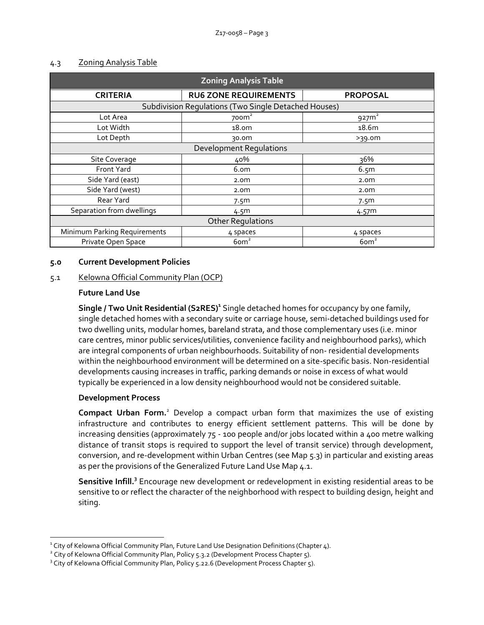| <b>Zoning Analysis Table</b>                         |                              |                   |  |  |
|------------------------------------------------------|------------------------------|-------------------|--|--|
| <b>CRITERIA</b>                                      | <b>RU6 ZONE REQUIREMENTS</b> | <b>PROPOSAL</b>   |  |  |
| Subdivision Regulations (Two Single Detached Houses) |                              |                   |  |  |
| Lot Area                                             | 700 <sup>2</sup>             | $927m^2$          |  |  |
| Lot Width                                            | 18.0 <sub>m</sub>            | 18.6m             |  |  |
| Lot Depth                                            | 30.0m                        | >39.0m            |  |  |
| <b>Development Regulations</b>                       |                              |                   |  |  |
| Site Coverage                                        | 40%                          | 36%               |  |  |
| Front Yard                                           | 6.om                         | 6.5m              |  |  |
| Side Yard (east)                                     | 2.0 <sub>m</sub>             | 2.0 <sub>m</sub>  |  |  |
| Side Yard (west)                                     | 2.0 <sub>m</sub>             | 2.0 <sub>m</sub>  |  |  |
| Rear Yard                                            | 7.5 <sub>m</sub>             | 7.5 <sup>m</sup>  |  |  |
| Separation from dwellings                            | 4.5m                         | 4.57 <sup>m</sup> |  |  |
| <b>Other Regulations</b>                             |                              |                   |  |  |
| Minimum Parking Requirements                         | 4 spaces                     | 4 spaces          |  |  |
| Private Open Space                                   | $6$ om $2$                   | $6$ om $2$        |  |  |

### 4.3 Zoning Analysis Table

### **5.0 Current Development Policies**

### 5.1 Kelowna Official Community Plan (OCP)

### **Future Land Use**

**Single / Two Unit Residential (S2RES)<sup>1</sup>** Single detached homes for occupancy by one family, single detached homes with a secondary suite or carriage house, semi-detached buildings used for two dwelling units, modular homes, bareland strata, and those complementary uses (i.e. minor care centres, minor public services/utilities, convenience facility and neighbourhood parks), which are integral components of urban neighbourhoods. Suitability of non- residential developments within the neighbourhood environment will be determined on a site-specific basis. Non-residential developments causing increases in traffic, parking demands or noise in excess of what would typically be experienced in a low density neighbourhood would not be considered suitable.

### **Development Process**

1

**Compact Urban Form.**<sup>2</sup> Develop a compact urban form that maximizes the use of existing infrastructure and contributes to energy efficient settlement patterns. This will be done by increasing densities (approximately 75 - 100 people and/or jobs located within a 400 metre walking distance of transit stops is required to support the level of transit service) through development, conversion, and re-development within Urban Centres (see Map 5.3) in particular and existing areas as per the provisions of the Generalized Future Land Use Map 4.1.

Sensitive Infill.<sup>3</sup> Encourage new development or redevelopment in existing residential areas to be sensitive to or reflect the character of the neighborhood with respect to building design, height and siting.

 $^{\text{1}}$  City of Kelowna Official Community Plan, Future Land Use Designation Definitions (Chapter 4).

<sup>&</sup>lt;sup>2</sup> City of Kelowna Official Community Plan, Policy 5.3.2 (Development Process Chapter 5).

<sup>&</sup>lt;sup>3</sup> City of Kelowna Official Community Plan, Policy 5.22.6 (Development Process Chapter 5).